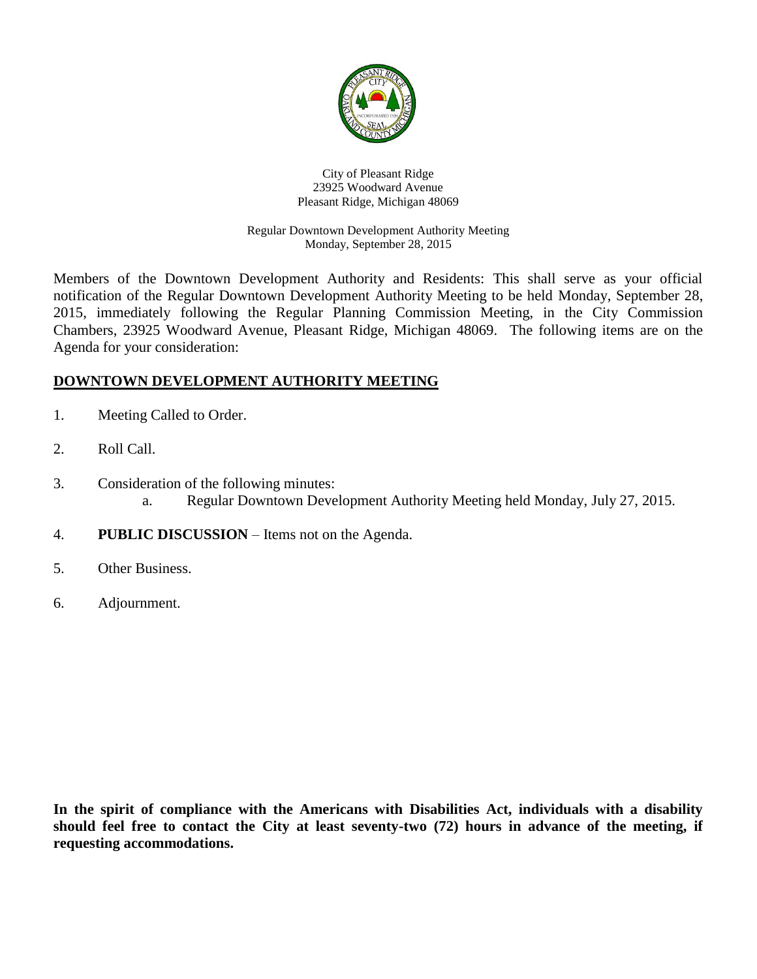

#### City of Pleasant Ridge 23925 Woodward Avenue Pleasant Ridge, Michigan 48069

### Regular Downtown Development Authority Meeting Monday, September 28, 2015

Members of the Downtown Development Authority and Residents: This shall serve as your official notification of the Regular Downtown Development Authority Meeting to be held Monday, September 28, 2015, immediately following the Regular Planning Commission Meeting, in the City Commission Chambers, 23925 Woodward Avenue, Pleasant Ridge, Michigan 48069. The following items are on the Agenda for your consideration:

# **DOWNTOWN DEVELOPMENT AUTHORITY MEETING**

- 1. Meeting Called to Order.
- 2. Roll Call.
- 3. Consideration of the following minutes: a. Regular Downtown Development Authority Meeting held Monday, July 27, 2015.
- 4. **PUBLIC DISCUSSION** Items not on the Agenda.
- 5. Other Business.
- 6. Adjournment.

**In the spirit of compliance with the Americans with Disabilities Act, individuals with a disability should feel free to contact the City at least seventy-two (72) hours in advance of the meeting, if requesting accommodations.**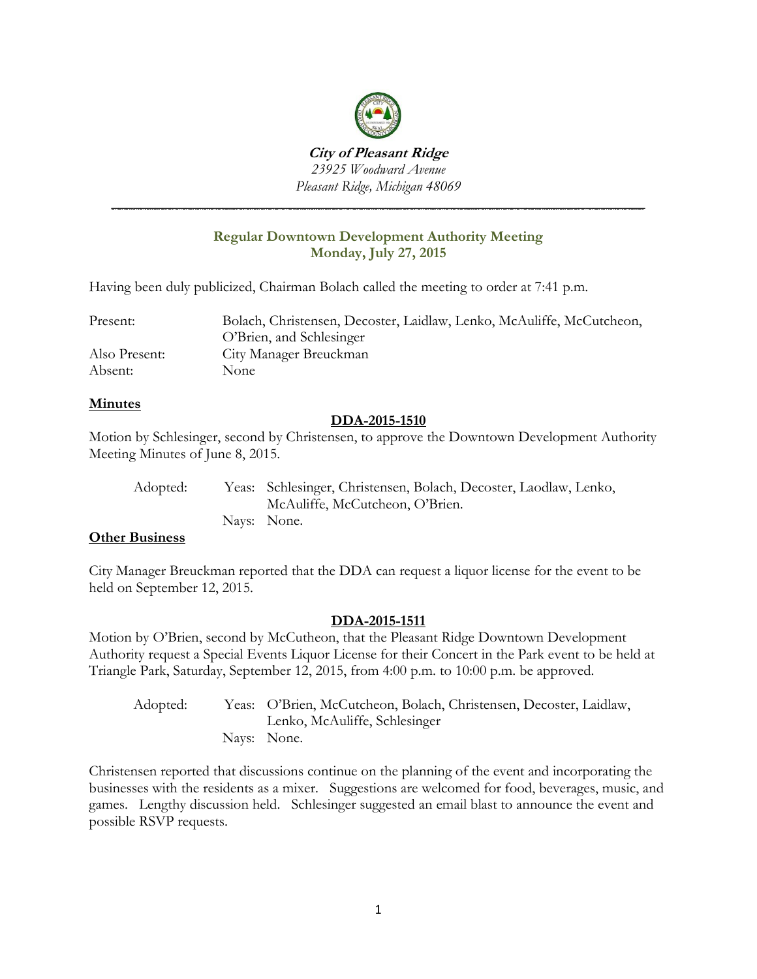

**City of Pleasant Ridge** *23925 Woodward Avenue Pleasant Ridge, Michigan 48069*

# **Regular Downtown Development Authority Meeting Monday, July 27, 2015**

*\_\_\_\_\_\_\_\_\_\_\_\_\_\_\_\_\_\_\_\_\_\_\_\_\_\_\_\_\_\_\_\_\_\_\_\_\_\_\_\_\_\_\_\_\_\_\_\_\_\_\_\_\_\_\_\_\_\_\_\_\_\_\_\_\_\_\_\_\_\_\_\_*

Having been duly publicized, Chairman Bolach called the meeting to order at 7:41 p.m.

| Present:      | Bolach, Christensen, Decoster, Laidlaw, Lenko, McAuliffe, McCutcheon, |
|---------------|-----------------------------------------------------------------------|
|               | O'Brien, and Schlesinger                                              |
| Also Present: | City Manager Breuckman                                                |
| Absent:       | None.                                                                 |

## **Minutes**

## **DDA-2015-1510**

Motion by Schlesinger, second by Christensen, to approve the Downtown Development Authority Meeting Minutes of June 8, 2015.

| Adopted: | Yeas: Schlesinger, Christensen, Bolach, Decoster, Laodlaw, Lenko, |
|----------|-------------------------------------------------------------------|
|          | McAuliffe, McCutcheon, O'Brien.                                   |
|          | Navs: None.                                                       |

# **Other Business**

City Manager Breuckman reported that the DDA can request a liquor license for the event to be held on September 12, 2015.

### **DDA-2015-1511**

Motion by O'Brien, second by McCutheon, that the Pleasant Ridge Downtown Development Authority request a Special Events Liquor License for their Concert in the Park event to be held at Triangle Park, Saturday, September 12, 2015, from 4:00 p.m. to 10:00 p.m. be approved.

Adopted: Yeas: O'Brien, McCutcheon, Bolach, Christensen, Decoster, Laidlaw, Lenko, McAuliffe, Schlesinger Nays: None.

Christensen reported that discussions continue on the planning of the event and incorporating the businesses with the residents as a mixer. Suggestions are welcomed for food, beverages, music, and games. Lengthy discussion held. Schlesinger suggested an email blast to announce the event and possible RSVP requests.